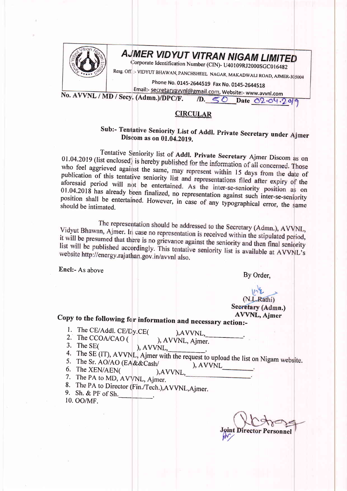

# AJMER VIDYUT VITRAN NIGAM LIMITED

Corporate Identification Number (CIN)- U40109RJ2000SGC016482

Resg. Off. :- VIDYUT BHAWAN, PANCHSHEEL NAGAR, MAKADWALI ROAD, AJMER-305004

Phone No. 0145-2644519 Fax No. 0145-2644518

Email:- secretaryavvnl@gmail.com, Website:- www.avvnl.com No. AVVNL / MD / Secy. (Admn.)/DPC/F. D. 50 Date 02.04.2019

#### **CIRCULAR**

### Sub:- Tentative Seniority List of Addl. Private Secretary under Ajmer Discom as on 01.04.2019.

Tentative Seniority list of Addl. Private Secretary Ajmer Discom as on 01.04.2019 (list enclosed) is hereby published for the information of all concerned. Those who feel aggrieved against the same, may represent within 15 days from the date of publication of this tentative seniority list and representations filed after expiry of the aforesaid period will not be entertained. As the inter-se-seniority position as on  $01.04.2018$  has already been finalized, no representation against such inter-se-seniority position shall be entertained. However, in case of any typographical error, the same should be intimated.

The representation should be addressed to the Secretary (Admn.), AVVNL, Vidyut Bhawan, Ajmer. In case no representation is received within the stipulated period, it will be presumed that there is no grievance against the seniority and then final seniority list will be published accordingly. This tentative seniority list is available at AVVNL's website http://energy.rajathan.gov.in/avvnl also.

Encl:- As above

By Order,

#### (N.L.Rathi) Secretary (Admn.) **AVVNL**, Ajmer

## Copy to the following for information and necessary action:-

- 1. The CE/Addl. CE/Dy.CE(
- ), AVVNL,
- 2. The CCOA/CAO (
	- ), AVVNL, Ajmer.
- 3. The SE $($ ), AVVNL,
- 4. The SE (IT), AVVNL, Ajmer with the request to upload the list on Nigam website.
- 5. The Sr. AO/AO (EA&&Cash/ ), AVVNL
- 6. The XEN/AEN(
- ), AVVNL, 7. The PA to MD, AVVNL, Ajmer.
- 8. The PA to Director (Fin./Tech.), AVVNL, Ajmer.
- 9. Sh. & PF of Sh. 10. OO/MF.

Joint. ersonnel